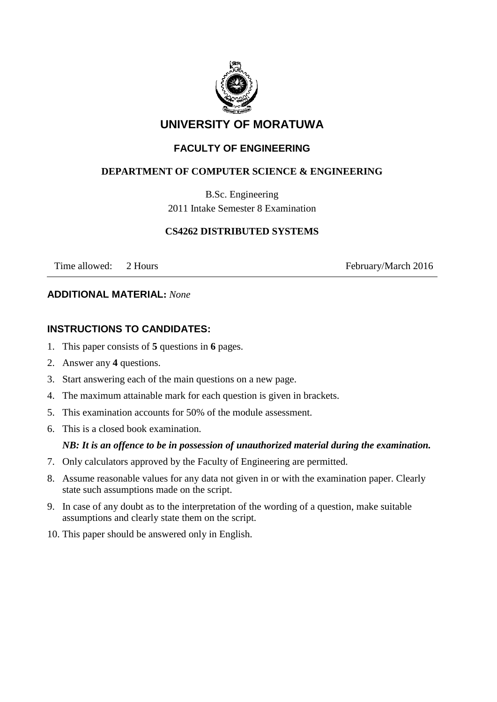

# **UNIVERSITY OF MORATUWA**

# **FACULTY OF ENGINEERING**

# **DEPARTMENT OF COMPUTER SCIENCE & ENGINEERING**

B.Sc. Engineering 2011 Intake Semester 8 Examination

#### **CS4262 DISTRIBUTED SYSTEMS**

Time allowed: 2 Hours February/March 2016

#### **ADDITIONAL MATERIAL:** *None*

## **INSTRUCTIONS TO CANDIDATES:**

- 1. This paper consists of **5** questions in **6** pages.
- 2. Answer any **4** questions.
- 3. Start answering each of the main questions on a new page.
- 4. The maximum attainable mark for each question is given in brackets.
- 5. This examination accounts for 50% of the module assessment.
- 6. This is a closed book examination.

#### *NB: It is an offence to be in possession of unauthorized material during the examination.*

- 7. Only calculators approved by the Faculty of Engineering are permitted.
- 8. Assume reasonable values for any data not given in or with the examination paper. Clearly state such assumptions made on the script.
- 9. In case of any doubt as to the interpretation of the wording of a question, make suitable assumptions and clearly state them on the script.
- 10. This paper should be answered only in English.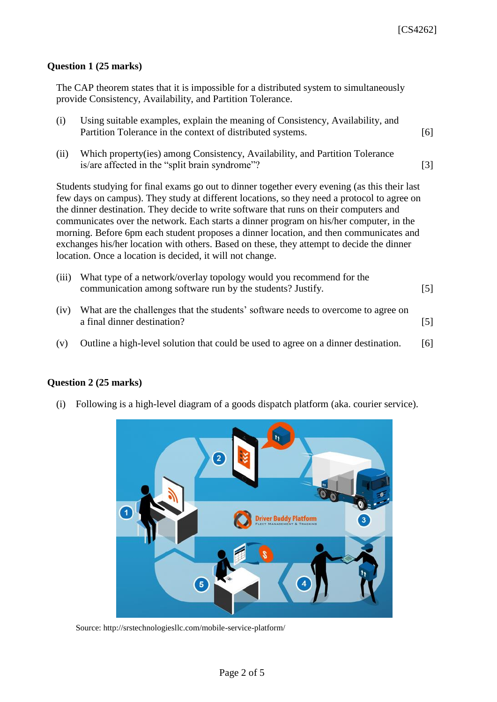#### **Question 1 (25 marks)**

The CAP theorem states that it is impossible for a distributed system to simultaneously provide Consistency, Availability, and Partition Tolerance.

- (i) Using suitable examples, explain the meaning of Consistency, Availability, and Partition Tolerance in the context of distributed systems. [6]
- (ii) Which property(ies) among Consistency, Availability, and Partition Tolerance is/are affected in the "split brain syndrome"? [3]

Students studying for final exams go out to dinner together every evening (as this their last few days on campus). They study at different locations, so they need a protocol to agree on the dinner destination. They decide to write software that runs on their computers and communicates over the network. Each starts a dinner program on his/her computer, in the morning. Before 6pm each student proposes a dinner location, and then communicates and exchanges his/her location with others. Based on these, they attempt to decide the dinner location. Once a location is decided, it will not change.

| (iii) What type of a network/overlay topology would you recommend for the |       |
|---------------------------------------------------------------------------|-------|
| communication among software run by the students? Justify.                | $[5]$ |

- (iv) What are the challenges that the students' software needs to overcome to agree on a final dinner destination? [5]
- (v) Outline a high-level solution that could be used to agree on a dinner destination. [6]

#### **Question 2 (25 marks)**

(i) Following is a high-level diagram of a goods dispatch platform (aka. courier service).



Source: http://srstechnologiesllc.com/mobile-service-platform/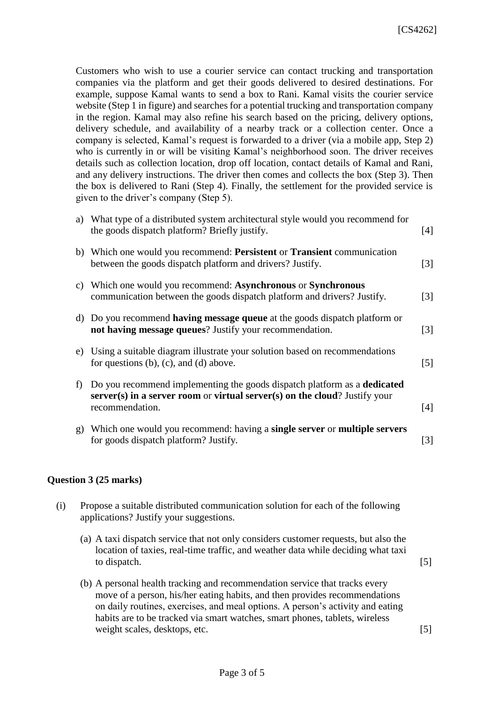Customers who wish to use a courier service can contact trucking and transportation companies via the platform and get their goods delivered to desired destinations. For example, suppose Kamal wants to send a box to Rani. Kamal visits the courier service website (Step 1 in figure) and searches for a potential trucking and transportation company in the region. Kamal may also refine his search based on the pricing, delivery options, delivery schedule, and availability of a nearby track or a collection center. Once a company is selected, Kamal's request is forwarded to a driver (via a mobile app, Step 2) who is currently in or will be visiting Kamal's neighborhood soon. The driver receives details such as collection location, drop off location, contact details of Kamal and Rani, and any delivery instructions. The driver then comes and collects the box (Step 3). Then the box is delivered to Rani (Step 4). Finally, the settlement for the provided service is given to the driver's company (Step 5).

|    | a) What type of a distributed system architectural style would you recommend for<br>the goods dispatch platform? Briefly justify.                                                  | [4] |
|----|------------------------------------------------------------------------------------------------------------------------------------------------------------------------------------|-----|
|    | b) Which one would you recommend: Persistent or Transient communication<br>between the goods dispatch platform and drivers? Justify.                                               | [3] |
|    | c) Which one would you recommend: Asynchronous or Synchronous<br>communication between the goods dispatch platform and drivers? Justify.                                           | [3] |
|    | d) Do you recommend having message queue at the goods dispatch platform or<br>not having message queues? Justify your recommendation.                                              | [3] |
|    | e) Using a suitable diagram illustrate your solution based on recommendations<br>for questions $(b)$ , $(c)$ , and $(d)$ above.                                                    | [5] |
| f  | Do you recommend implementing the goods dispatch platform as a <b>dedicated</b><br>$server(s)$ in a server room or virtual server(s) on the cloud? Justify your<br>recommendation. | [4] |
| g) | Which one would you recommend: having a <b>single server</b> or <b>multiple servers</b><br>for goods dispatch platform? Justify.                                                   | [3] |

#### **Question 3 (25 marks)**

- (i) Propose a suitable distributed communication solution for each of the following applications? Justify your suggestions.
	- (a) A taxi dispatch service that not only considers customer requests, but also the location of taxies, real-time traffic, and weather data while deciding what taxi to dispatch. [5]
	- (b) A personal health tracking and recommendation service that tracks every move of a person, his/her eating habits, and then provides recommendations on daily routines, exercises, and meal options. A person's activity and eating habits are to be tracked via smart watches, smart phones, tablets, wireless weight scales, desktops, etc. [5]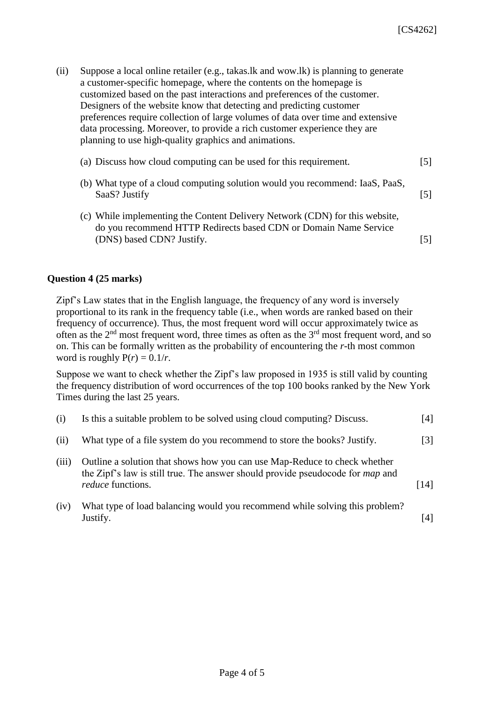| Suppose a local online retailer (e.g., takas.lk and wow.lk) is planning to generate |
|-------------------------------------------------------------------------------------|
|                                                                                     |
|                                                                                     |
|                                                                                     |
|                                                                                     |
|                                                                                     |
|                                                                                     |
|                                                                                     |

| (a) Discuss how cloud computing can be used for this requirement. |  |  |  | $[5]$ |  |  |  |  |  |
|-------------------------------------------------------------------|--|--|--|-------|--|--|--|--|--|
|                                                                   |  |  |  |       |  |  |  |  |  |

- (b) What type of a cloud computing solution would you recommend: IaaS, PaaS, SaaS? Justify [5]
- (c) While implementing the Content Delivery Network (CDN) for this website, do you recommend HTTP Redirects based CDN or Domain Name Service (DNS) based CDN? Justify. [5]

#### **Question 4 (25 marks)**

Zipf's Law states that in the English language, the frequency of any word is inversely proportional to its rank in the frequency table (i.e., when words are ranked based on their frequency of occurrence). Thus, the most frequent word will occur approximately twice as often as the 2nd most frequent word, three times as often as the 3rd most frequent word, and so on. This can be formally written as the probability of encountering the *r*-th most common word is roughly  $P(r) = 0.1/r$ .

Suppose we want to check whether the Zipf's law proposed in 1935 is still valid by counting the frequency distribution of word occurrences of the top 100 books ranked by the New York Times during the last 25 years.

| (i)   | Is this a suitable problem to be solved using cloud computing? Discuss.                                                                                                                        | [4]               |
|-------|------------------------------------------------------------------------------------------------------------------------------------------------------------------------------------------------|-------------------|
| (ii)  | What type of a file system do you recommend to store the books? Justify.                                                                                                                       | $\lceil 3 \rceil$ |
| (iii) | Outline a solution that shows how you can use Map-Reduce to check whether<br>the Zipf's law is still true. The answer should provide pseudocode for <i>map</i> and<br><i>reduce</i> functions. | [14]              |
| (iv)  | What type of load balancing would you recommend while solving this problem?<br>Justify.                                                                                                        |                   |